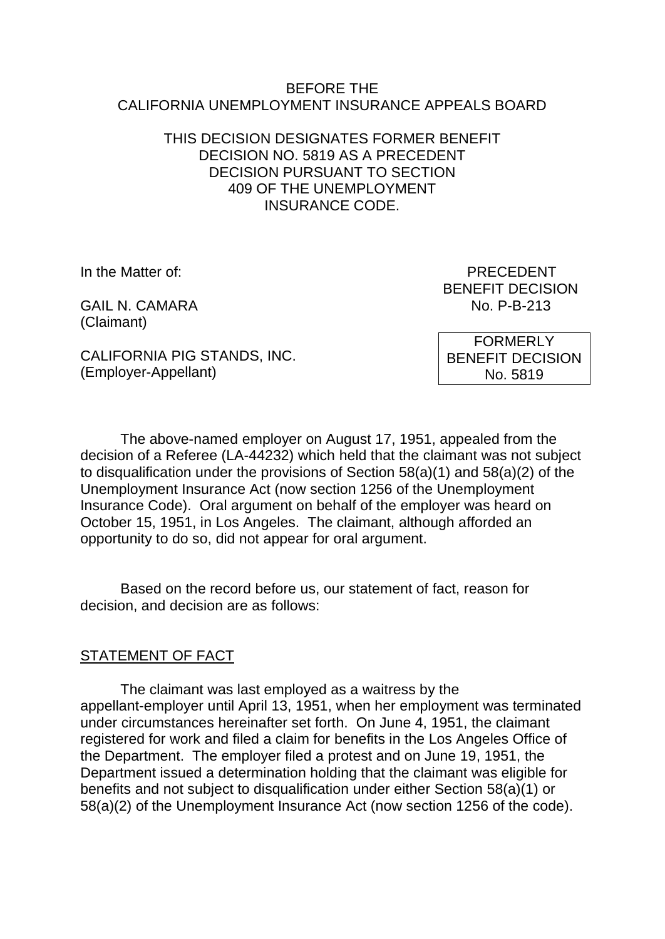#### BEFORE THE CALIFORNIA UNEMPLOYMENT INSURANCE APPEALS BOARD

### THIS DECISION DESIGNATES FORMER BENEFIT DECISION NO. 5819 AS A PRECEDENT DECISION PURSUANT TO SECTION 409 OF THE UNEMPLOYMENT INSURANCE CODE.

GAIL N. CAMARA No. P-B-213 (Claimant)

In the Matter of: PRECEDENT BENEFIT DECISION

CALIFORNIA PIG STANDS, INC. (Employer-Appellant)

FORMERLY BENEFIT DECISION No. 5819

The above-named employer on August 17, 1951, appealed from the decision of a Referee (LA-44232) which held that the claimant was not subject to disqualification under the provisions of Section 58(a)(1) and 58(a)(2) of the Unemployment Insurance Act (now section 1256 of the Unemployment Insurance Code). Oral argument on behalf of the employer was heard on October 15, 1951, in Los Angeles. The claimant, although afforded an opportunity to do so, did not appear for oral argument.

Based on the record before us, our statement of fact, reason for decision, and decision are as follows:

# STATEMENT OF FACT

The claimant was last employed as a waitress by the appellant-employer until April 13, 1951, when her employment was terminated under circumstances hereinafter set forth. On June 4, 1951, the claimant registered for work and filed a claim for benefits in the Los Angeles Office of the Department. The employer filed a protest and on June 19, 1951, the Department issued a determination holding that the claimant was eligible for benefits and not subject to disqualification under either Section 58(a)(1) or 58(a)(2) of the Unemployment Insurance Act (now section 1256 of the code).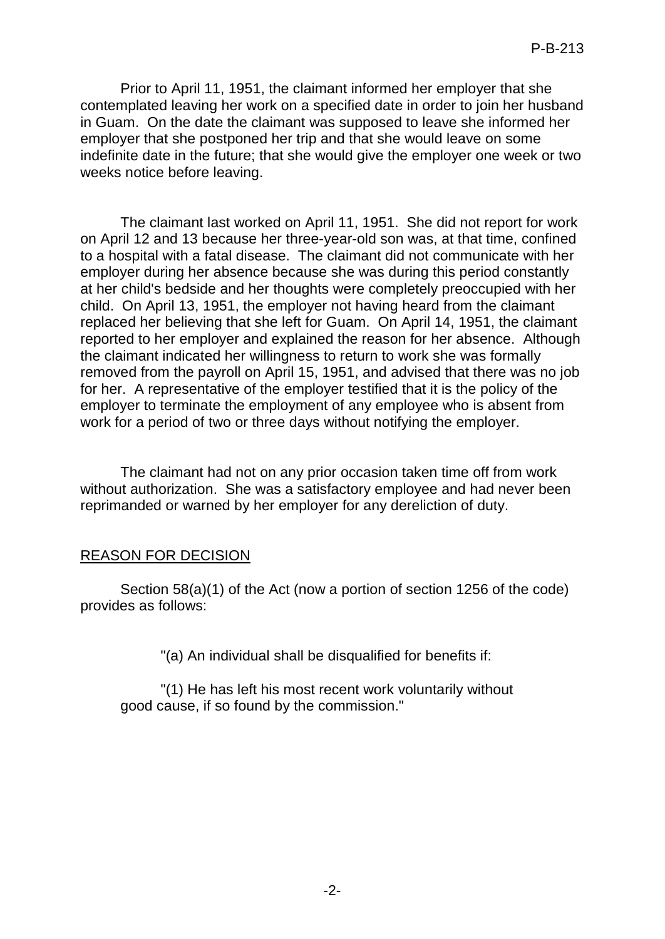Prior to April 11, 1951, the claimant informed her employer that she contemplated leaving her work on a specified date in order to join her husband in Guam. On the date the claimant was supposed to leave she informed her employer that she postponed her trip and that she would leave on some indefinite date in the future; that she would give the employer one week or two weeks notice before leaving.

The claimant last worked on April 11, 1951. She did not report for work on April 12 and 13 because her three-year-old son was, at that time, confined to a hospital with a fatal disease. The claimant did not communicate with her employer during her absence because she was during this period constantly at her child's bedside and her thoughts were completely preoccupied with her child. On April 13, 1951, the employer not having heard from the claimant replaced her believing that she left for Guam. On April 14, 1951, the claimant reported to her employer and explained the reason for her absence. Although the claimant indicated her willingness to return to work she was formally removed from the payroll on April 15, 1951, and advised that there was no job for her. A representative of the employer testified that it is the policy of the employer to terminate the employment of any employee who is absent from work for a period of two or three days without notifying the employer.

The claimant had not on any prior occasion taken time off from work without authorization. She was a satisfactory employee and had never been reprimanded or warned by her employer for any dereliction of duty.

### REASON FOR DECISION

Section 58(a)(1) of the Act (now a portion of section 1256 of the code) provides as follows:

"(a) An individual shall be disqualified for benefits if:

"(1) He has left his most recent work voluntarily without good cause, if so found by the commission."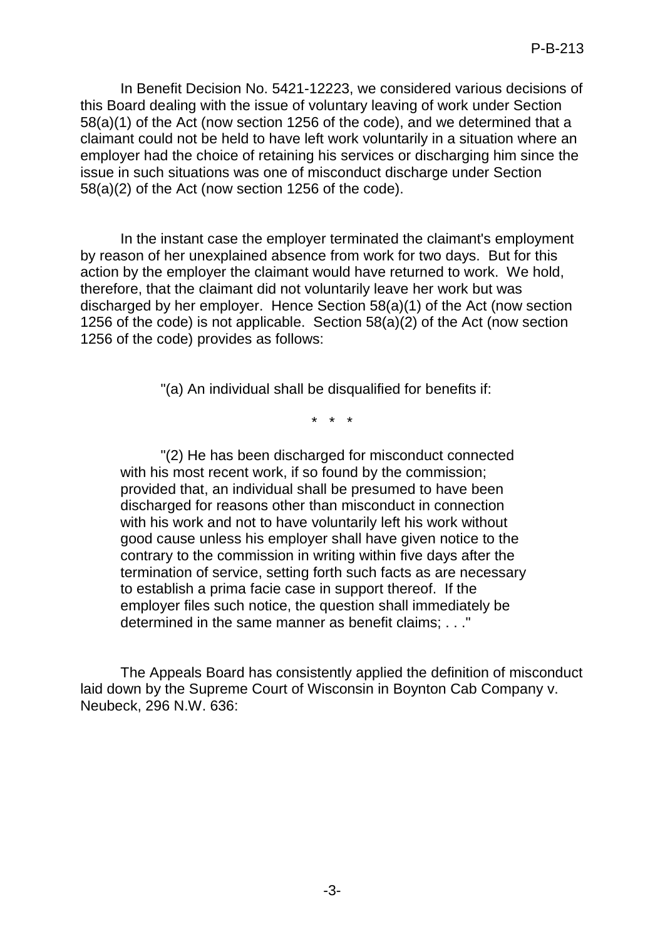In Benefit Decision No. 5421-12223, we considered various decisions of this Board dealing with the issue of voluntary leaving of work under Section 58(a)(1) of the Act (now section 1256 of the code), and we determined that a claimant could not be held to have left work voluntarily in a situation where an employer had the choice of retaining his services or discharging him since the issue in such situations was one of misconduct discharge under Section 58(a)(2) of the Act (now section 1256 of the code).

In the instant case the employer terminated the claimant's employment by reason of her unexplained absence from work for two days. But for this action by the employer the claimant would have returned to work. We hold, therefore, that the claimant did not voluntarily leave her work but was discharged by her employer. Hence Section 58(a)(1) of the Act (now section 1256 of the code) is not applicable. Section 58(a)(2) of the Act (now section 1256 of the code) provides as follows:

"(a) An individual shall be disqualified for benefits if:

\* \* \*

"(2) He has been discharged for misconduct connected with his most recent work, if so found by the commission; provided that, an individual shall be presumed to have been discharged for reasons other than misconduct in connection with his work and not to have voluntarily left his work without good cause unless his employer shall have given notice to the contrary to the commission in writing within five days after the termination of service, setting forth such facts as are necessary to establish a prima facie case in support thereof. If the employer files such notice, the question shall immediately be determined in the same manner as benefit claims; . . ."

The Appeals Board has consistently applied the definition of misconduct laid down by the Supreme Court of Wisconsin in Boynton Cab Company v. Neubeck, 296 N.W. 636: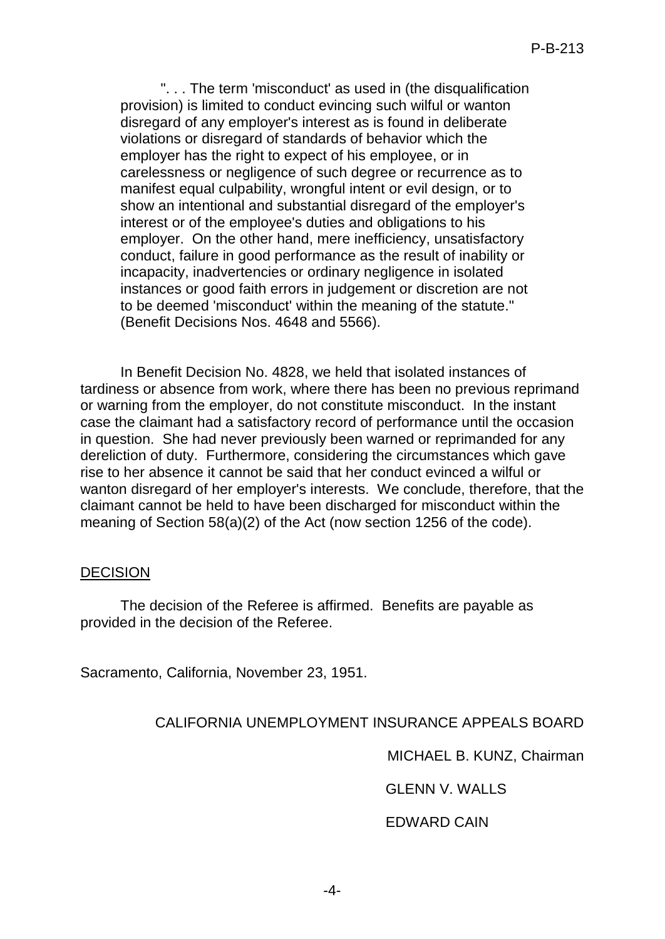". . . The term 'misconduct' as used in (the disqualification provision) is limited to conduct evincing such wilful or wanton disregard of any employer's interest as is found in deliberate violations or disregard of standards of behavior which the employer has the right to expect of his employee, or in carelessness or negligence of such degree or recurrence as to manifest equal culpability, wrongful intent or evil design, or to show an intentional and substantial disregard of the employer's interest or of the employee's duties and obligations to his employer. On the other hand, mere inefficiency, unsatisfactory conduct, failure in good performance as the result of inability or incapacity, inadvertencies or ordinary negligence in isolated instances or good faith errors in judgement or discretion are not to be deemed 'misconduct' within the meaning of the statute." (Benefit Decisions Nos. 4648 and 5566).

In Benefit Decision No. 4828, we held that isolated instances of tardiness or absence from work, where there has been no previous reprimand or warning from the employer, do not constitute misconduct. In the instant case the claimant had a satisfactory record of performance until the occasion in question. She had never previously been warned or reprimanded for any dereliction of duty. Furthermore, considering the circumstances which gave rise to her absence it cannot be said that her conduct evinced a wilful or wanton disregard of her employer's interests. We conclude, therefore, that the claimant cannot be held to have been discharged for misconduct within the meaning of Section 58(a)(2) of the Act (now section 1256 of the code).

#### **DECISION**

The decision of the Referee is affirmed. Benefits are payable as provided in the decision of the Referee.

Sacramento, California, November 23, 1951.

### CALIFORNIA UNEMPLOYMENT INSURANCE APPEALS BOARD

MICHAEL B. KUNZ, Chairman

GLENN V. WALLS

EDWARD CAIN